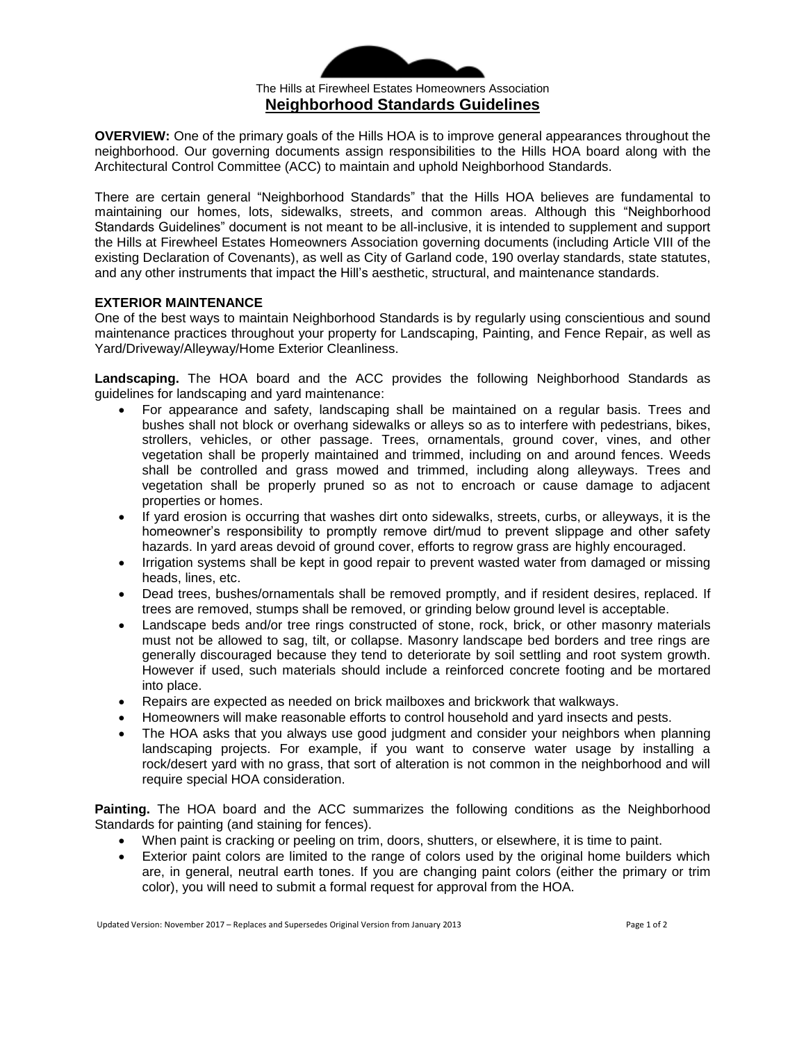

**OVERVIEW:** One of the primary goals of the Hills HOA is to improve general appearances throughout the neighborhood. Our governing documents assign responsibilities to the Hills HOA board along with the Architectural Control Committee (ACC) to maintain and uphold Neighborhood Standards.

There are certain general "Neighborhood Standards" that the Hills HOA believes are fundamental to maintaining our homes, lots, sidewalks, streets, and common areas. Although this "Neighborhood Standards Guidelines" document is not meant to be all-inclusive, it is intended to supplement and support the Hills at Firewheel Estates Homeowners Association governing documents (including Article VIII of the existing Declaration of Covenants), as well as City of Garland code, 190 overlay standards, state statutes, and any other instruments that impact the Hill's aesthetic, structural, and maintenance standards.

#### **EXTERIOR MAINTENANCE**

One of the best ways to maintain Neighborhood Standards is by regularly using conscientious and sound maintenance practices throughout your property for Landscaping, Painting, and Fence Repair, as well as Yard/Driveway/Alleyway/Home Exterior Cleanliness.

**Landscaping.** The HOA board and the ACC provides the following Neighborhood Standards as guidelines for landscaping and yard maintenance:

- For appearance and safety, landscaping shall be maintained on a regular basis. Trees and bushes shall not block or overhang sidewalks or alleys so as to interfere with pedestrians, bikes, strollers, vehicles, or other passage. Trees, ornamentals, ground cover, vines, and other vegetation shall be properly maintained and trimmed, including on and around fences. Weeds shall be controlled and grass mowed and trimmed, including along alleyways. Trees and vegetation shall be properly pruned so as not to encroach or cause damage to adjacent properties or homes.
- If yard erosion is occurring that washes dirt onto sidewalks, streets, curbs, or alleyways, it is the homeowner's responsibility to promptly remove dirt/mud to prevent slippage and other safety hazards. In yard areas devoid of ground cover, efforts to regrow grass are highly encouraged.
- Irrigation systems shall be kept in good repair to prevent wasted water from damaged or missing heads, lines, etc.
- Dead trees, bushes/ornamentals shall be removed promptly, and if resident desires, replaced. If trees are removed, stumps shall be removed, or grinding below ground level is acceptable.
- Landscape beds and/or tree rings constructed of stone, rock, brick, or other masonry materials must not be allowed to sag, tilt, or collapse. Masonry landscape bed borders and tree rings are generally discouraged because they tend to deteriorate by soil settling and root system growth. However if used, such materials should include a reinforced concrete footing and be mortared into place.
- Repairs are expected as needed on brick mailboxes and brickwork that walkways.
- Homeowners will make reasonable efforts to control household and yard insects and pests.
- The HOA asks that you always use good judgment and consider your neighbors when planning landscaping projects. For example, if you want to conserve water usage by installing a rock/desert yard with no grass, that sort of alteration is not common in the neighborhood and will require special HOA consideration.

**Painting.** The HOA board and the ACC summarizes the following conditions as the Neighborhood Standards for painting (and staining for fences).

- When paint is cracking or peeling on trim, doors, shutters, or elsewhere, it is time to paint.
- Exterior paint colors are limited to the range of colors used by the original home builders which are, in general, neutral earth tones. If you are changing paint colors (either the primary or trim color), you will need to submit a formal request for approval from the HOA.